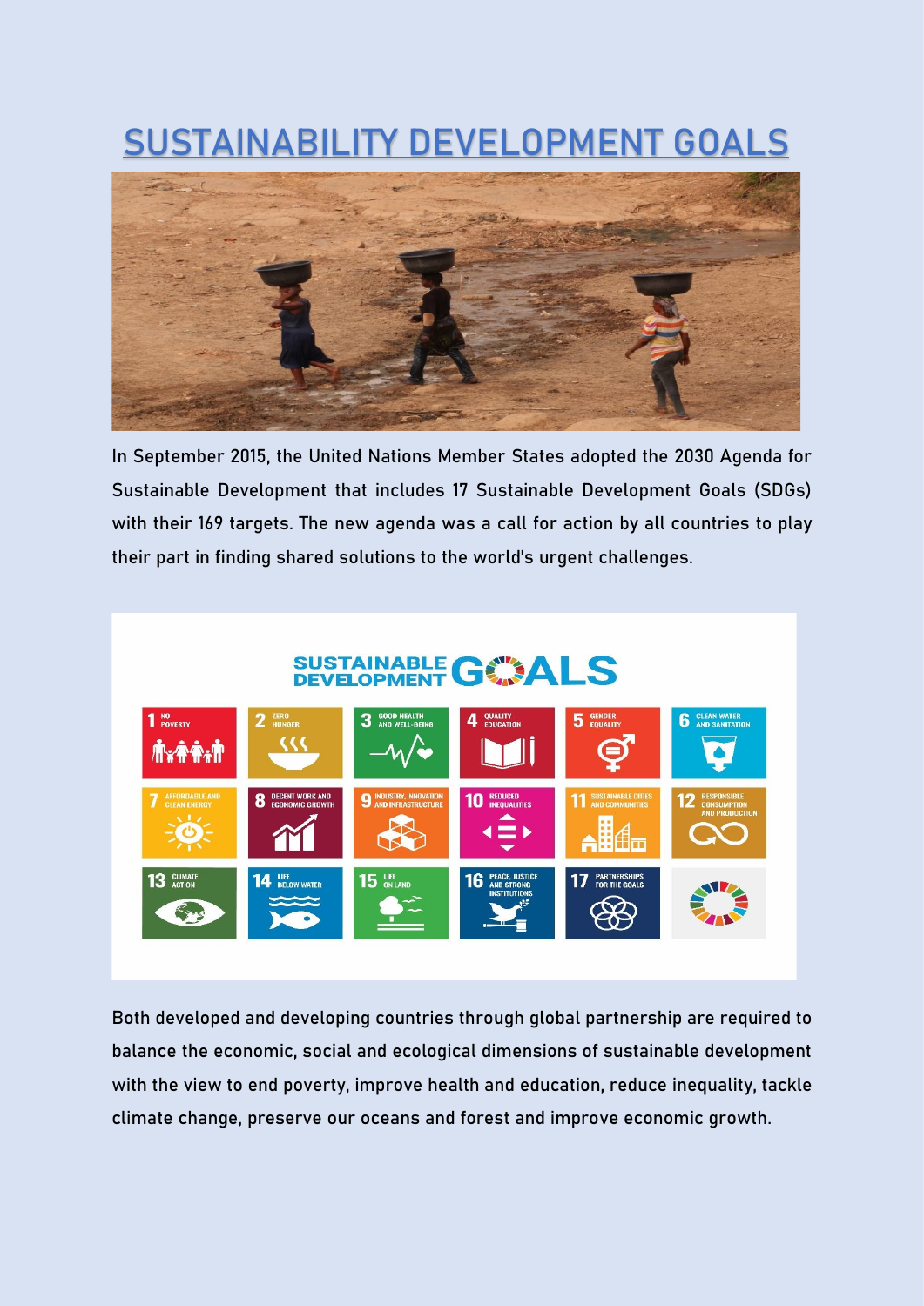## **SUSTAINABILITY DEVELOPMENT GOALS**



In September 2015, the United Nations Member States adopted the 2030 Agenda for Sustainable Development that includes 17 Sustainable Development Goals (SDGs) with their 169 targets. The new agenda was a call for action by all countries to play their part in finding shared solutions to the world's urgent challenges.



Both developed and developing countries through global partnership are required to balance the economic, social and ecological dimensions of sustainable development with the view to end poverty, improve health and education, reduce inequality, tackle climate change, preserve our oceans and forest and improve economic growth.